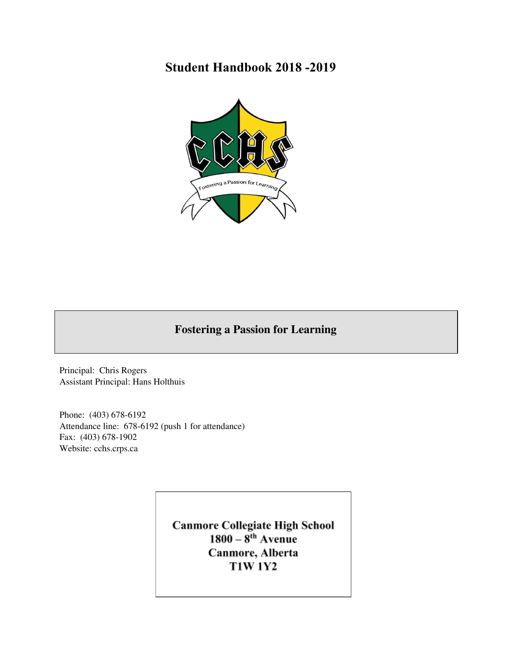# **Student Handbook 2018 -2019**



# **Fostering a Passion for Learning**

Principal: Chris Rogers Assistant Principal: Hans Holthuis

Phone: (403) 678-6192 Attendance line: 678-6192 (push 1 for attendance) Fax: (403) 678-1902 Website: cchs.crps.ca

> Canmore Collegiate High School<br>1800 – 8<sup>th</sup> Avenue Canmore, Alberta **T1W 1Y2**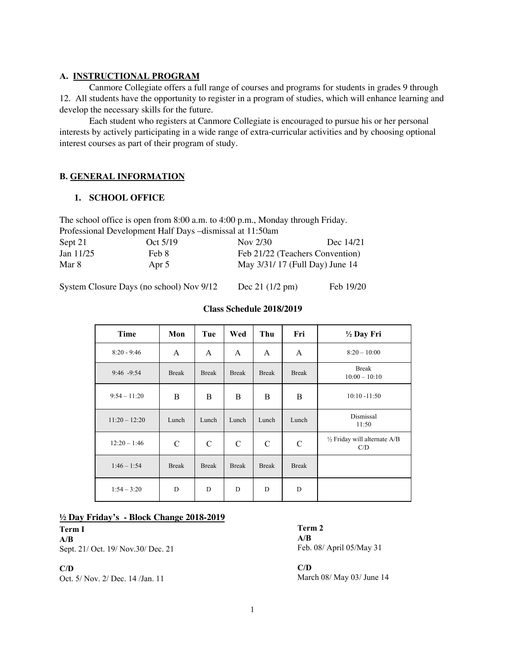## **A. INSTRUCTIONAL PROGRAM**

Canmore Collegiate offers a full range of courses and programs for students in grades 9 through 12. All students have the opportunity to register in a program of studies, which will enhance learning and develop the necessary skills for the future.

Each student who registers at Canmore Collegiate is encouraged to pursue his or her personal interests by actively participating in a wide range of extra-curricular activities and by choosing optional interest courses as part of their program of study.

# **B. GENERAL INFORMATION**

## **1. SCHOOL OFFICE**

The school office is open from 8:00 a.m. to 4:00 p.m., Monday through Friday. Professional Development Half Days –dismissal at 11:50am Sept 21 Oct 5/19 Nov 2/30 Dec 14/21 Jan 11/25 Feb 8 Feb 21/22 (Teachers Convention) Mar 8 **Apr 5** May 3/31/ 17 (Full Day) June 14

System Closure Days (no school) Nov 9/12 Dec 21 (1/2 pm) Feb 19/20

| Time            | Mon           | Tue           | Wed           | Thu           | Fri           | 1/2 Day Fri                                    |
|-----------------|---------------|---------------|---------------|---------------|---------------|------------------------------------------------|
| $8:20 - 9:46$   | A             | A             | A             | A             | $\mathsf{A}$  | $8:20 - 10:00$                                 |
| $9:46 - 9:54$   | <b>Break</b>  | <b>Break</b>  | <b>Break</b>  | <b>Break</b>  | <b>Break</b>  | <b>Break</b><br>$10:00 - 10:10$                |
| $9:54 - 11:20$  | B             | B             | B             | B             | B             | $10:10 - 11:50$                                |
| $11:20 - 12:20$ | Lunch         | Lunch         | Lunch         | Lunch         | Lunch         | Dismissal<br>11:50                             |
| $12:20 - 1:46$  | $\mathcal{C}$ | $\mathcal{C}$ | $\mathcal{C}$ | $\mathcal{C}$ | $\mathcal{C}$ | $\frac{1}{2}$ Friday will alternate A/B<br>C/D |
| $1:46 - 1:54$   | <b>Break</b>  | <b>Break</b>  | <b>Break</b>  | <b>Break</b>  | <b>Break</b>  |                                                |
| $1:54 - 3:20$   | D             | D             | D             | D             | D             |                                                |

## **Class Schedule 2018/2019**

## **½ Day Friday's - Block Change 2018-2019**

**Term I A/B** Sept. 21/ Oct. 19/ Nov.30/ Dec. 21

**C/D**

Oct. 5/ Nov. 2/ Dec. 14 /Jan. 11 March 08/ May 03/ June 14

**Term 2 A/B**  Feb. 08/ April 05/May 31

**C/D**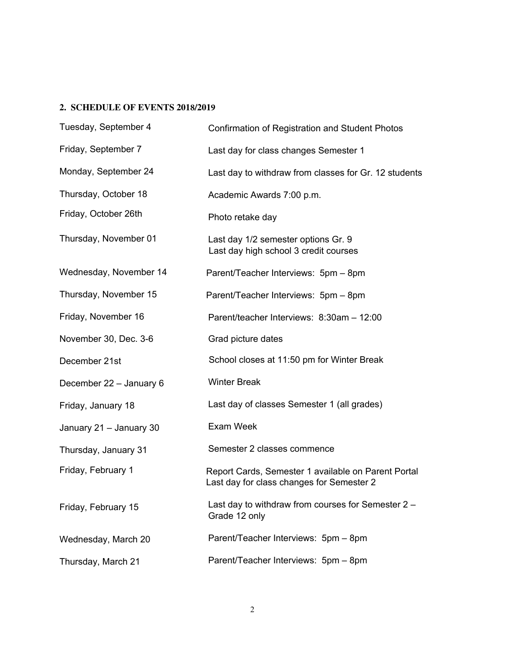## **2. SCHEDULE OF EVENTS 2018/2019**

| Tuesday, September 4    | Confirmation of Registration and Student Photos                                                  |  |
|-------------------------|--------------------------------------------------------------------------------------------------|--|
| Friday, September 7     | Last day for class changes Semester 1                                                            |  |
| Monday, September 24    | Last day to withdraw from classes for Gr. 12 students                                            |  |
| Thursday, October 18    | Academic Awards 7:00 p.m.                                                                        |  |
| Friday, October 26th    | Photo retake day                                                                                 |  |
| Thursday, November 01   | Last day 1/2 semester options Gr. 9<br>Last day high school 3 credit courses                     |  |
| Wednesday, November 14  | Parent/Teacher Interviews: 5pm - 8pm                                                             |  |
| Thursday, November 15   | Parent/Teacher Interviews: 5pm - 8pm                                                             |  |
| Friday, November 16     | Parent/teacher Interviews: 8:30am - 12:00                                                        |  |
| November 30, Dec. 3-6   | Grad picture dates                                                                               |  |
| December 21st           | School closes at 11:50 pm for Winter Break                                                       |  |
| December 22 - January 6 | <b>Winter Break</b>                                                                              |  |
| Friday, January 18      | Last day of classes Semester 1 (all grades)                                                      |  |
| January 21 - January 30 | Exam Week                                                                                        |  |
| Thursday, January 31    | Semester 2 classes commence                                                                      |  |
| Friday, February 1      | Report Cards, Semester 1 available on Parent Portal<br>Last day for class changes for Semester 2 |  |
| Friday, February 15     | Last day to withdraw from courses for Semester 2 -<br>Grade 12 only                              |  |
| Wednesday, March 20     | Parent/Teacher Interviews: 5pm - 8pm                                                             |  |
| Thursday, March 21      | Parent/Teacher Interviews: 5pm - 8pm                                                             |  |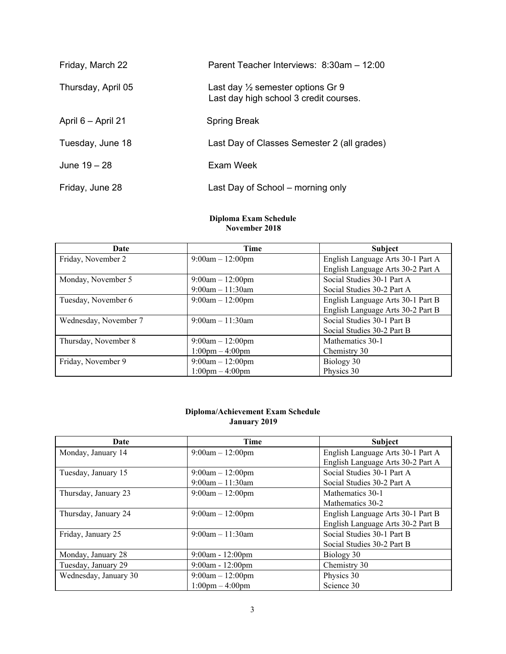| Friday, March 22   | Parent Teacher Interviews: 8:30am - 12:00                                              |
|--------------------|----------------------------------------------------------------------------------------|
| Thursday, April 05 | Last day $\frac{1}{2}$ semester options Gr 9<br>Last day high school 3 credit courses. |
| April 6 - April 21 | Spring Break                                                                           |
| Tuesday, June 18   | Last Day of Classes Semester 2 (all grades)                                            |
| June 19 – 28       | Exam Week                                                                              |
| Friday, June 28    | Last Day of School – morning only                                                      |

#### **Diploma Exam Schedule November 2018**

| Date                  | Time                              | Subject                           |
|-----------------------|-----------------------------------|-----------------------------------|
| Friday, November 2    | $9:00am - 12:00pm$                | English Language Arts 30-1 Part A |
|                       |                                   | English Language Arts 30-2 Part A |
| Monday, November 5    | $9:00am - 12:00pm$                | Social Studies 30-1 Part A        |
|                       | $9:00am - 11:30am$                | Social Studies 30-2 Part A        |
| Tuesday, November 6   | $9:00am - 12:00pm$                | English Language Arts 30-1 Part B |
|                       |                                   | English Language Arts 30-2 Part B |
| Wednesday, November 7 | $9:00am - 11:30am$                | Social Studies 30-1 Part B        |
|                       |                                   | Social Studies 30-2 Part B        |
| Thursday, November 8  | $9:00am - 12:00pm$                | Mathematics 30-1                  |
|                       | $1:00 \text{pm} - 4:00 \text{pm}$ | Chemistry 30                      |
| Friday, November 9    | $9:00am - 12:00pm$                | Biology 30                        |
|                       | $1:00 \text{pm} - 4:00 \text{pm}$ | Physics 30                        |

#### **Diploma/Achievement Exam Schedule January 2019**

| Date                  | <b>Time</b>                       | <b>Subject</b>                    |
|-----------------------|-----------------------------------|-----------------------------------|
| Monday, January 14    | $9:00am - 12:00pm$                | English Language Arts 30-1 Part A |
|                       |                                   | English Language Arts 30-2 Part A |
| Tuesday, January 15   | $9:00am - 12:00pm$                | Social Studies 30-1 Part A        |
|                       | $9:00$ am $-11:30$ am             | Social Studies 30-2 Part A        |
| Thursday, January 23  | $9:00am - 12:00pm$                | Mathematics 30-1                  |
|                       |                                   | Mathematics 30-2                  |
| Thursday, January 24  | $9:00am - 12:00pm$                | English Language Arts 30-1 Part B |
|                       |                                   | English Language Arts 30-2 Part B |
| Friday, January 25    | $9:00am - 11:30am$                | Social Studies 30-1 Part B        |
|                       |                                   | Social Studies 30-2 Part B        |
| Monday, January 28    | $9:00$ am - 12:00pm               | Biology 30                        |
| Tuesday, January 29   | $9:00am - 12:00pm$                | Chemistry 30                      |
| Wednesday, January 30 | $9:00am - 12:00pm$                | Physics 30                        |
|                       | $1:00 \text{pm} - 4:00 \text{pm}$ | Science 30                        |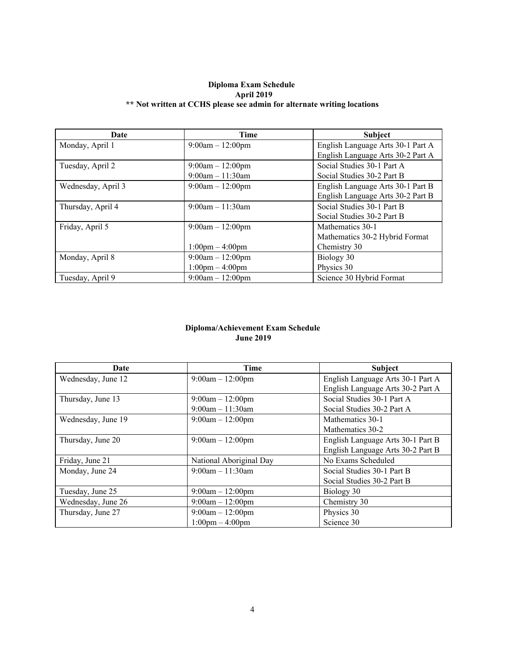## **Diploma Exam Schedule April 2019 \*\* Not written at CCHS please see admin for alternate writing locations**

| Date               | <b>Time</b>                       | <b>Subject</b>                    |
|--------------------|-----------------------------------|-----------------------------------|
| Monday, April 1    | $9:00am - 12:00pm$                | English Language Arts 30-1 Part A |
|                    |                                   | English Language Arts 30-2 Part A |
| Tuesday, April 2   | $9:00am - 12:00pm$                | Social Studies 30-1 Part A        |
|                    | $9:00am - 11:30am$                | Social Studies 30-2 Part B        |
| Wednesday, April 3 | $9:00am - 12:00pm$                | English Language Arts 30-1 Part B |
|                    |                                   | English Language Arts 30-2 Part B |
| Thursday, April 4  | $9:00am - 11:30am$                | Social Studies 30-1 Part B        |
|                    |                                   | Social Studies 30-2 Part B        |
| Friday, April 5    | $9:00am - 12:00pm$                | Mathematics 30-1                  |
|                    |                                   | Mathematics 30-2 Hybrid Format    |
|                    | $1:00 \text{pm} - 4:00 \text{pm}$ | Chemistry 30                      |
| Monday, April 8    | $9:00am - 12:00pm$                | Biology 30                        |
|                    | $1:00 \text{pm} - 4:00 \text{pm}$ | Physics 30                        |
| Tuesday, April 9   | $9:00am - 12:00dm$                | Science 30 Hybrid Format          |

#### **Diploma/Achievement Exam Schedule June 2019**

| Date               | <b>Time</b>                       | <b>Subject</b>                    |
|--------------------|-----------------------------------|-----------------------------------|
| Wednesday, June 12 | $9:00am - 12:00pm$                | English Language Arts 30-1 Part A |
|                    |                                   | English Language Arts 30-2 Part A |
| Thursday, June 13  | $9:00am - 12:00pm$                | Social Studies 30-1 Part A        |
|                    | $9:00am - 11:30am$                | Social Studies 30-2 Part A        |
| Wednesday, June 19 | $9:00am - 12:00pm$                | Mathematics 30-1                  |
|                    |                                   | Mathematics 30-2                  |
| Thursday, June 20  | $9:00am - 12:00pm$                | English Language Arts 30-1 Part B |
|                    |                                   | English Language Arts 30-2 Part B |
| Friday, June 21    | National Aboriginal Day           | No Exams Scheduled                |
| Monday, June 24    | $9:00am - 11:30am$                | Social Studies 30-1 Part B        |
|                    |                                   | Social Studies 30-2 Part B        |
| Tuesday, June 25   | $9:00am - 12:00pm$                | Biology 30                        |
| Wednesday, June 26 | $9:00am - 12:00pm$                | Chemistry 30                      |
| Thursday, June 27  | $9:00am - 12:00pm$                | Physics 30                        |
|                    | $1:00 \text{pm} - 4:00 \text{pm}$ | Science 30                        |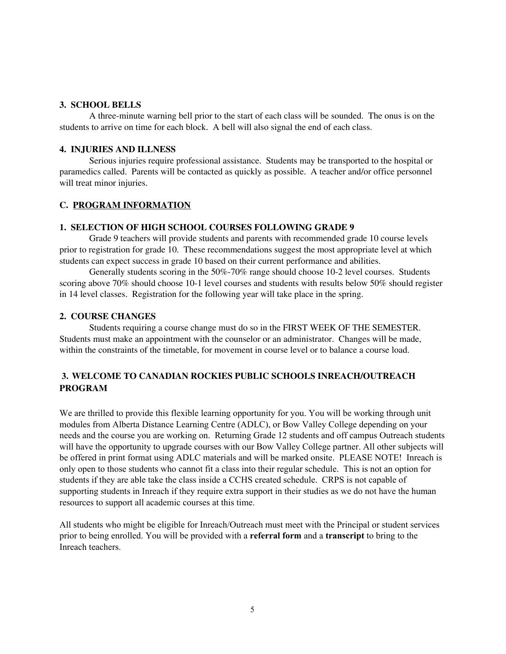## **3. SCHOOL BELLS**

A three-minute warning bell prior to the start of each class will be sounded. The onus is on the students to arrive on time for each block. A bell will also signal the end of each class.

## **4. INJURIES AND ILLNESS**

Serious injuries require professional assistance. Students may be transported to the hospital or paramedics called. Parents will be contacted as quickly as possible. A teacher and/or office personnel will treat minor injuries.

## **C. PROGRAM INFORMATION**

## **1. SELECTION OF HIGH SCHOOL COURSES FOLLOWING GRADE 9**

Grade 9 teachers will provide students and parents with recommended grade 10 course levels prior to registration for grade 10. These recommendations suggest the most appropriate level at which students can expect success in grade 10 based on their current performance and abilities.

Generally students scoring in the 50%-70% range should choose 10-2 level courses. Students scoring above 70% should choose 10-1 level courses and students with results below 50% should register in 14 level classes. Registration for the following year will take place in the spring.

#### **2. COURSE CHANGES**

Students requiring a course change must do so in the FIRST WEEK OF THE SEMESTER. Students must make an appointment with the counselor or an administrator. Changes will be made, within the constraints of the timetable, for movement in course level or to balance a course load.

# **3. WELCOME TO CANADIAN ROCKIES PUBLIC SCHOOLS INREACH/OUTREACH PROGRAM**

We are thrilled to provide this flexible learning opportunity for you. You will be working through unit modules from Alberta Distance Learning Centre (ADLC), or Bow Valley College depending on your needs and the course you are working on. Returning Grade 12 students and off campus Outreach students will have the opportunity to upgrade courses with our Bow Valley College partner. All other subjects will be offered in print format using ADLC materials and will be marked onsite. PLEASE NOTE! Inreach is only open to those students who cannot fit a class into their regular schedule. This is not an option for students if they are able take the class inside a CCHS created schedule. CRPS is not capable of supporting students in Inreach if they require extra support in their studies as we do not have the human resources to support all academic courses at this time.

All students who might be eligible for Inreach/Outreach must meet with the Principal or student services prior to being enrolled. You will be provided with a **referral form** and a **transcript** to bring to the Inreach teachers.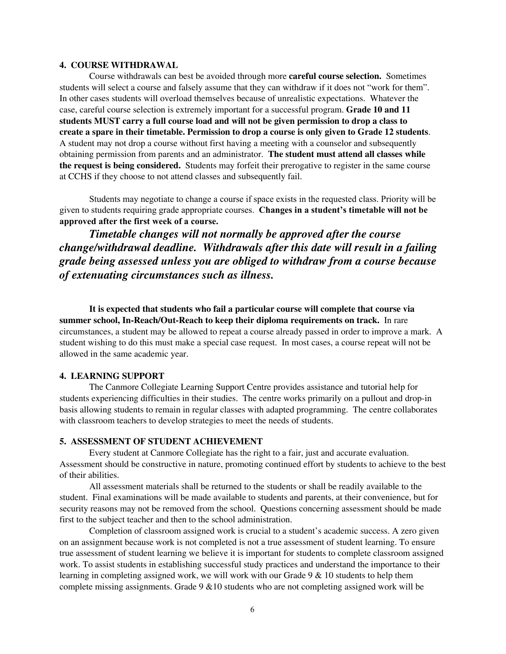#### **4. COURSE WITHDRAWAL**

Course withdrawals can best be avoided through more **careful course selection.** Sometimes students will select a course and falsely assume that they can withdraw if it does not "work for them". In other cases students will overload themselves because of unrealistic expectations. Whatever the case, careful course selection is extremely important for a successful program. **Grade 10 and 11 students MUST carry a full course load and will not be given permission to drop a class to create a spare in their timetable. Permission to drop a course is only given to Grade 12 students**. A student may not drop a course without first having a meeting with a counselor and subsequently obtaining permission from parents and an administrator. **The student must attend all classes while the request is being considered.** Students may forfeit their prerogative to register in the same course at CCHS if they choose to not attend classes and subsequently fail.

Students may negotiate to change a course if space exists in the requested class. Priority will be given to students requiring grade appropriate courses. **Changes in a student's timetable will not be approved after the first week of a course.**

*Timetable changes will not normally be approved after the course change/withdrawal deadline. Withdrawals after this date will result in a failing grade being assessed unless you are obliged to withdraw from a course because of extenuating circumstances such as illness.*

**It is expected that students who fail a particular course will complete that course via summer school, In-Reach/Out-Reach to keep their diploma requirements on track.** In rare circumstances, a student may be allowed to repeat a course already passed in order to improve a mark. A student wishing to do this must make a special case request. In most cases, a course repeat will not be allowed in the same academic year.

#### **4. LEARNING SUPPORT**

The Canmore Collegiate Learning Support Centre provides assistance and tutorial help for students experiencing difficulties in their studies. The centre works primarily on a pullout and drop-in basis allowing students to remain in regular classes with adapted programming. The centre collaborates with classroom teachers to develop strategies to meet the needs of students.

#### **5. ASSESSMENT OF STUDENT ACHIEVEMENT**

Every student at Canmore Collegiate has the right to a fair, just and accurate evaluation. Assessment should be constructive in nature, promoting continued effort by students to achieve to the best of their abilities.

All assessment materials shall be returned to the students or shall be readily available to the student. Final examinations will be made available to students and parents, at their convenience, but for security reasons may not be removed from the school. Questions concerning assessment should be made first to the subject teacher and then to the school administration.

Completion of classroom assigned work is crucial to a student's academic success. A zero given on an assignment because work is not completed is not a true assessment of student learning. To ensure true assessment of student learning we believe it is important for students to complete classroom assigned work. To assist students in establishing successful study practices and understand the importance to their learning in completing assigned work, we will work with our Grade  $9 \& 10$  students to help them complete missing assignments. Grade  $9 \& 10$  students who are not completing assigned work will be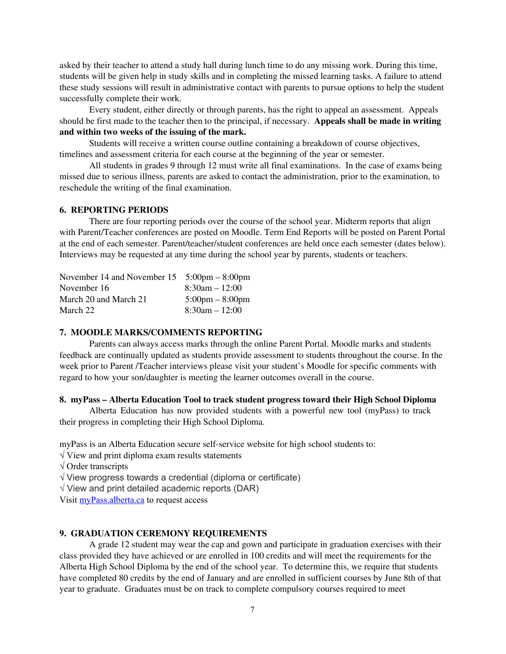asked by their teacher to attend a study hall during lunch time to do any missing work. During this time, students will be given help in study skills and in completing the missed learning tasks. A failure to attend these study sessions will result in administrative contact with parents to pursue options to help the student successfully complete their work.

Every student, either directly or through parents, has the right to appeal an assessment. Appeals should be first made to the teacher then to the principal, if necessary. **Appeals shall be made in writing and within two weeks of the issuing of the mark.**

Students will receive a written course outline containing a breakdown of course objectives, timelines and assessment criteria for each course at the beginning of the year or semester.

All students in grades 9 through 12 must write all final examinations. In the case of exams being missed due to serious illness, parents are asked to contact the administration, prior to the examination, to reschedule the writing of the final examination.

## **6. REPORTING PERIODS**

There are four reporting periods over the course of the school year. Midterm reports that align with Parent/Teacher conferences are posted on Moodle. Term End Reports will be posted on Parent Portal at the end of each semester. Parent/teacher/student conferences are held once each semester (dates below). Interviews may be requested at any time during the school year by parents, students or teachers.

| November 14 and November 15 | $5:00 \text{pm} - 8:00 \text{pm}$ |
|-----------------------------|-----------------------------------|
| November 16                 | $8:30am - 12:00$                  |
| March 20 and March 21       | $5:00 \text{pm} - 8:00 \text{pm}$ |
| March 22                    | $8:30am - 12:00$                  |

#### **7. MOODLE MARKS/COMMENTS REPORTING**

Parents can always access marks through the online Parent Portal. Moodle marks and students feedback are continually updated as students provide assessment to students throughout the course. In the week prior to Parent /Teacher interviews please visit your student's Moodle for specific comments with regard to how your son/daughter is meeting the learner outcomes overall in the course.

## **8. myPass – Alberta Education Tool to track student progress toward their High School Diploma**

Alberta Education has now provided students with a powerful new tool (myPass) to track their progress in completing their High School Diploma.

myPass is an Alberta Education secure self-service website for high school students to:

 $\sqrt{\frac{1}{\sqrt{1}}\}}$  View and print diploma exam results statements

√ Order transcripts

√ View progress towards a credential (diploma or certificate)

 $\sqrt{ }$  View and print detailed academic reports (DAR)

Visit [myPass.alberta.ca](https://public.education.alberta.ca/PASI/myPass) to request access

## **9. GRADUATION CEREMONY REQUIREMENTS**

A grade 12 student may wear the cap and gown and participate in graduation exercises with their class provided they have achieved or are enrolled in 100 credits and will meet the requirements for the Alberta High School Diploma by the end of the school year. To determine this, we require that students have completed 80 credits by the end of January and are enrolled in sufficient courses by June 8th of that year to graduate. Graduates must be on track to complete compulsory courses required to meet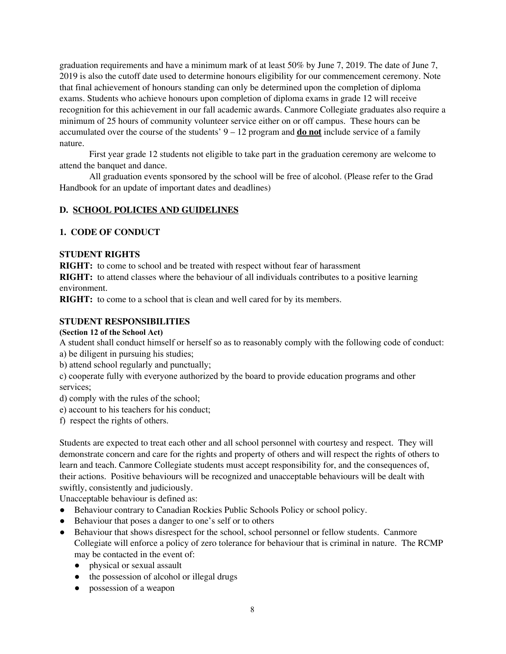graduation requirements and have a minimum mark of at least 50% by June 7, 2019. The date of June 7, 2019 is also the cutoff date used to determine honours eligibility for our commencement ceremony. Note that final achievement of honours standing can only be determined upon the completion of diploma exams. Students who achieve honours upon completion of diploma exams in grade 12 will receive recognition for this achievement in our fall academic awards. Canmore Collegiate graduates also require a minimum of 25 hours of community volunteer service either on or off campus. These hours can be accumulated over the course of the students' 9 – 12 program and **do not** include service of a family nature.

First year grade 12 students not eligible to take part in the graduation ceremony are welcome to attend the banquet and dance.

All graduation events sponsored by the school will be free of alcohol. (Please refer to the Grad Handbook for an update of important dates and deadlines)

# **D. SCHOOL POLICIES AND GUIDELINES**

# **1. CODE OF CONDUCT**

## **STUDENT RIGHTS**

**RIGHT:** to come to school and be treated with respect without fear of harassment

**RIGHT:** to attend classes where the behaviour of all individuals contributes to a positive learning environment.

**RIGHT:** to come to a school that is clean and well cared for by its members.

# **STUDENT RESPONSIBILITIES**

## **(Section 12 of the School Act)**

A student shall conduct himself or herself so as to reasonably comply with the following code of conduct: a) be diligent in pursuing his studies;

b) attend school regularly and punctually;

c) cooperate fully with everyone authorized by the board to provide education programs and other services;

- d) comply with the rules of the school;
- e) account to his teachers for his conduct;
- f) respect the rights of others.

Students are expected to treat each other and all school personnel with courtesy and respect. They will demonstrate concern and care for the rights and property of others and will respect the rights of others to learn and teach. Canmore Collegiate students must accept responsibility for, and the consequences of, their actions. Positive behaviours will be recognized and unacceptable behaviours will be dealt with swiftly, consistently and judiciously.

Unacceptable behaviour is defined as:

- Behaviour contrary to Canadian Rockies Public Schools Policy or school policy.
- Behaviour that poses a danger to one's self or to others
- Behaviour that shows disrespect for the school, school personnel or fellow students. Canmore Collegiate will enforce a policy of zero tolerance for behaviour that is criminal in nature. The RCMP may be contacted in the event of:
	- physical or sexual assault
	- the possession of alcohol or illegal drugs
	- possession of a weapon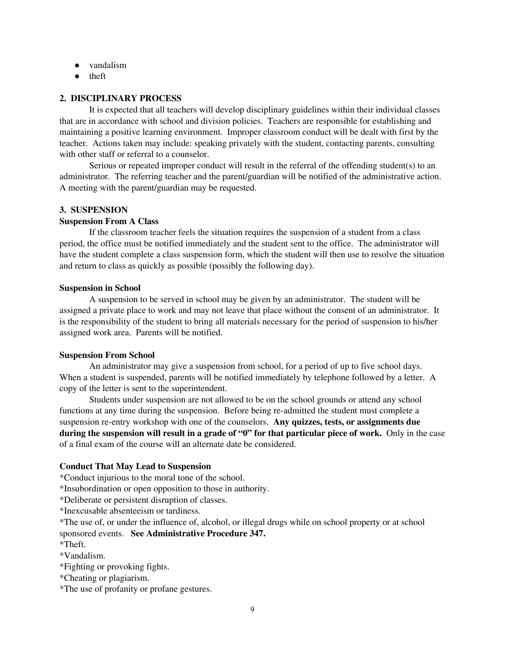- vandalism
- theft

## **2. DISCIPLINARY PROCESS**

It is expected that all teachers will develop disciplinary guidelines within their individual classes that are in accordance with school and division policies. Teachers are responsible for establishing and maintaining a positive learning environment. Improper classroom conduct will be dealt with first by the teacher. Actions taken may include: speaking privately with the student, contacting parents, consulting with other staff or referral to a counselor.

Serious or repeated improper conduct will result in the referral of the offending student(s) to an administrator. The referring teacher and the parent/guardian will be notified of the administrative action. A meeting with the parent/guardian may be requested.

## **3. SUSPENSION**

#### **Suspension From A Class**

If the classroom teacher feels the situation requires the suspension of a student from a class period, the office must be notified immediately and the student sent to the office. The administrator will have the student complete a class suspension form, which the student will then use to resolve the situation and return to class as quickly as possible (possibly the following day).

#### **Suspension in School**

A suspension to be served in school may be given by an administrator. The student will be assigned a private place to work and may not leave that place without the consent of an administrator. It is the responsibility of the student to bring all materials necessary for the period of suspension to his/her assigned work area. Parents will be notified.

#### **Suspension From School**

An administrator may give a suspension from school, for a period of up to five school days. When a student is suspended, parents will be notified immediately by telephone followed by a letter. A copy of the letter is sent to the superintendent.

Students under suspension are not allowed to be on the school grounds or attend any school functions at any time during the suspension. Before being re-admitted the student must complete a suspension re-entry workshop with one of the counselors. **Any quizzes, tests, or assignments due during the suspension will result in a grade of "0" for that particular piece of work.** Only in the case of a final exam of the course will an alternate date be considered.

## **Conduct That May Lead to Suspension**

\*Conduct injurious to the moral tone of the school.

\*Insubordination or open opposition to those in authority.

\*Deliberate or persistent disruption of classes.

\*Inexcusable absenteeism or tardiness.

\*The use of, or under the influence of, alcohol, or illegal drugs while on school property or at school sponsored events. **See Administrative Procedure 347.**

\*Theft.

\*Vandalism.

\*Fighting or provoking fights.

\*Cheating or plagiarism.

\*The use of profanity or profane gestures.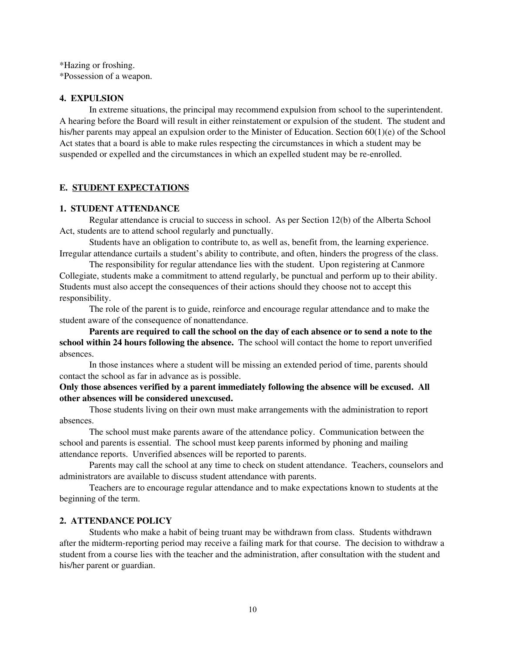\*Hazing or froshing. \*Possession of a weapon.

#### **4. EXPULSION**

In extreme situations, the principal may recommend expulsion from school to the superintendent. A hearing before the Board will result in either reinstatement or expulsion of the student. The student and his/her parents may appeal an expulsion order to the Minister of Education. Section 60(1)(e) of the School Act states that a board is able to make rules respecting the circumstances in which a student may be suspended or expelled and the circumstances in which an expelled student may be re-enrolled.

## **E. STUDENT EXPECTATIONS**

## **1. STUDENT ATTENDANCE**

Regular attendance is crucial to success in school. As per Section 12(b) of the Alberta School Act, students are to attend school regularly and punctually.

Students have an obligation to contribute to, as well as, benefit from, the learning experience. Irregular attendance curtails a student's ability to contribute, and often, hinders the progress of the class.

The responsibility for regular attendance lies with the student. Upon registering at Canmore Collegiate, students make a commitment to attend regularly, be punctual and perform up to their ability. Students must also accept the consequences of their actions should they choose not to accept this responsibility.

The role of the parent is to guide, reinforce and encourage regular attendance and to make the student aware of the consequence of nonattendance.

Parents are required to call the school on the day of each absence or to send a note to the **school within 24 hours following the absence.** The school will contact the home to report unverified absences.

In those instances where a student will be missing an extended period of time, parents should contact the school as far in advance as is possible.

## **Only those absences verified by a parent immediately following the absence will be excused. All other absences will be considered unexcused.**

Those students living on their own must make arrangements with the administration to report absences.

The school must make parents aware of the attendance policy. Communication between the school and parents is essential. The school must keep parents informed by phoning and mailing attendance reports. Unverified absences will be reported to parents.

Parents may call the school at any time to check on student attendance. Teachers, counselors and administrators are available to discuss student attendance with parents.

Teachers are to encourage regular attendance and to make expectations known to students at the beginning of the term.

#### **2. ATTENDANCE POLICY**

Students who make a habit of being truant may be withdrawn from class. Students withdrawn after the midterm-reporting period may receive a failing mark for that course. The decision to withdraw a student from a course lies with the teacher and the administration, after consultation with the student and his/her parent or guardian.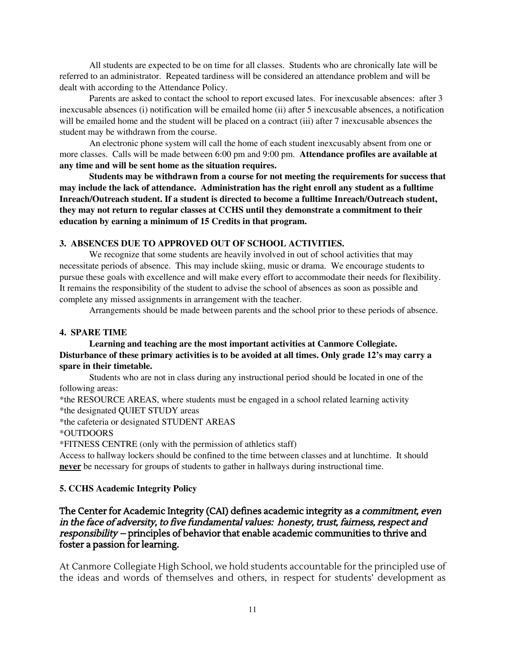All students are expected to be on time for all classes. Students who are chronically late will be referred to an administrator. Repeated tardiness will be considered an attendance problem and will be dealt with according to the Attendance Policy.

Parents are asked to contact the school to report excused lates. For inexcusable absences: after 3 inexcusable absences (i) notification will be emailed home (ii) after 5 inexcusable absences, a notification will be emailed home and the student will be placed on a contract (iii) after 7 inexcusable absences the student may be withdrawn from the course.

An electronic phone system will call the home of each student inexcusably absent from one or more classes. Calls will be made between 6:00 pm and 9:00 pm. **Attendance profiles are available at any time and will be sent home as the situation requires.**

**Students may be withdrawn from a course for not meeting the requirements for success that may include the lack of attendance. Administration has the right enroll any student as a fulltime Inreach/Outreach student. If a student is directed to become a fulltime Inreach/Outreach student, they may not return to regular classes at CCHS until they demonstrate a commitment to their education by earning a minimum of 15 Credits in that program.**

## **3. ABSENCES DUE TO APPROVED OUT OF SCHOOL ACTIVITIES.**

We recognize that some students are heavily involved in out of school activities that may necessitate periods of absence. This may include skiing, music or drama. We encourage students to pursue these goals with excellence and will make every effort to accommodate their needs for flexibility. It remains the responsibility of the student to advise the school of absences as soon as possible and complete any missed assignments in arrangement with the teacher.

Arrangements should be made between parents and the school prior to these periods of absence.

#### **4. SPARE TIME**

**Learning and teaching are the most important activities at Canmore Collegiate. Disturbance of these primary activities is to be avoided at all times. Only grade 12's may carry a spare in their timetable.**

Students who are not in class during any instructional period should be located in one of the following areas:

\*the RESOURCE AREAS, where students must be engaged in a school related learning activity \*the designated QUIET STUDY areas

\*the cafeteria or designated STUDENT AREAS

\*OUTDOORS

\*FITNESS CENTRE (only with the permission of athletics staff)

Access to hallway lockers should be confined to the time between classes and at lunchtime. It should **never** be necessary for groups of students to gather in hallways during instructional time.

## **5. CCHS Academic Integrity Policy**

# The Center for Academic Integrity (CAI) defines academic integrity as a commitment, even in the face of adversity, to five fundamental values: honesty, trust, fairness, respect and responsibility – principles of behavior that enable academic communities to thrive and foster a passion for learning.

At Canmore Collegiate High School, we hold students accountable for the principled use of the ideas and words of themselves and others, in respect for students' development as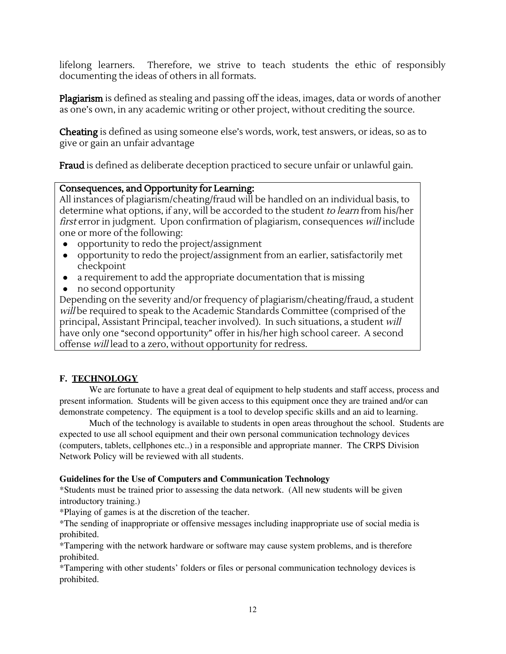lifelong learners. Therefore, we strive to teach students the ethic of responsibly documenting the ideas of others in all formats.

Plagiarism is defined as stealing and passing off the ideas, images, data or words of another as one's own, in any academic writing or other project, without crediting the source.

Cheating is defined as using someone else's words, work, test answers, or ideas, so as to give or gain an unfair advantage

Fraud is defined as deliberate deception practiced to secure unfair or unlawful gain.

# Consequences, and Opportunity for Learning:

All instances of plagiarism/cheating/fraud will be handled on an individual basis, to determine what options, if any, will be accorded to the student to learn from his/her first error in judgment. Upon confirmation of plagiarism, consequences will include one or more of the following:

- opportunity to redo the project/assignment
- opportunity to redo the project/assignment from an earlier, satisfactorily met checkpoint
- a requirement to add the appropriate documentation that is missing
- no second opportunity

Depending on the severity and/or frequency of plagiarism/cheating/fraud, a student will be required to speak to the Academic Standards Committee (comprised of the principal, Assistant Principal, teacher involved). In such situations, a student will have only one "second opportunity" offer in his/her high school career. A second offense will lead to a zero, without opportunity for redress.

# **F. TECHNOLOGY**

We are fortunate to have a great deal of equipment to help students and staff access, process and present information. Students will be given access to this equipment once they are trained and/or can demonstrate competency. The equipment is a tool to develop specific skills and an aid to learning.

Much of the technology is available to students in open areas throughout the school. Students are expected to use all school equipment and their own personal communication technology devices (computers, tablets, cellphones etc..) in a responsible and appropriate manner. The CRPS Division Network Policy will be reviewed with all students.

# **Guidelines for the Use of Computers and Communication Technology**

\*Students must be trained prior to assessing the data network. (All new students will be given introductory training.)

\*Playing of games is at the discretion of the teacher.

\*The sending of inappropriate or offensive messages including inappropriate use of social media is prohibited.

\*Tampering with the network hardware or software may cause system problems, and is therefore prohibited.

\*Tampering with other students' folders or files or personal communication technology devices is prohibited.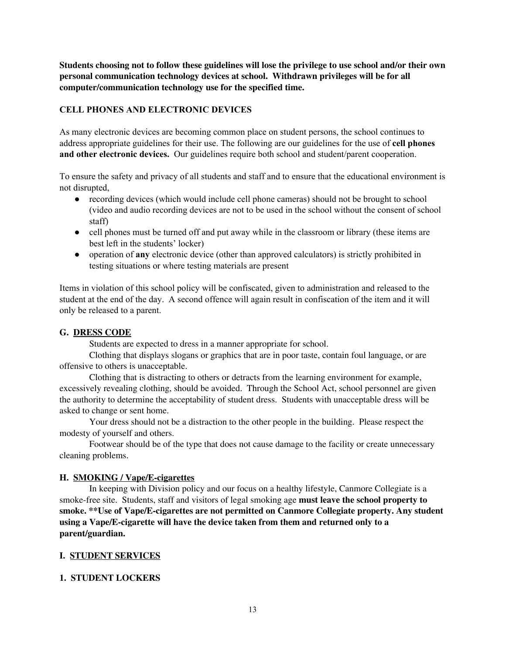**Students choosing not to follow these guidelines will lose the privilege to use school and/or their own personal communication technology devices at school. Withdrawn privileges will be for all computer/communication technology use for the specified time.**

# **CELL PHONES AND ELECTRONIC DEVICES**

As many electronic devices are becoming common place on student persons, the school continues to address appropriate guidelines for their use. The following are our guidelines for the use of **cell phones and other electronic devices.** Our guidelines require both school and student/parent cooperation.

To ensure the safety and privacy of all students and staff and to ensure that the educational environment is not disrupted,

- recording devices (which would include cell phone cameras) should not be brought to school (video and audio recording devices are not to be used in the school without the consent of school staff)
- cell phones must be turned off and put away while in the classroom or library (these items are best left in the students' locker)
- operation of **any** electronic device (other than approved calculators) is strictly prohibited in testing situations or where testing materials are present

Items in violation of this school policy will be confiscated, given to administration and released to the student at the end of the day. A second offence will again result in confiscation of the item and it will only be released to a parent.

## **G. DRESS CODE**

Students are expected to dress in a manner appropriate for school.

Clothing that displays slogans or graphics that are in poor taste, contain foul language, or are offensive to others is unacceptable.

Clothing that is distracting to others or detracts from the learning environment for example, excessively revealing clothing, should be avoided. Through the School Act, school personnel are given the authority to determine the acceptability of student dress. Students with unacceptable dress will be asked to change or sent home.

Your dress should not be a distraction to the other people in the building. Please respect the modesty of yourself and others.

Footwear should be of the type that does not cause damage to the facility or create unnecessary cleaning problems.

## **H. SMOKING / Vape/E-cigarettes**

In keeping with Division policy and our focus on a healthy lifestyle, Canmore Collegiate is a smoke-free site. Students, staff and visitors of legal smoking age **must leave the school property to smoke. \*\*Use of Vape/E-cigarettes are not permitted on Canmore Collegiate property. Any student using a Vape/E-cigarette will have the device taken from them and returned only to a parent/guardian.**

## **I. STUDENT SERVICES**

## **1. STUDENT LOCKERS**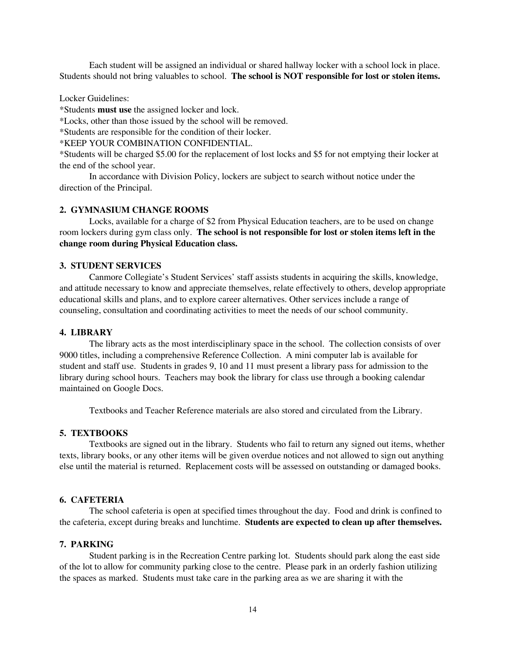Each student will be assigned an individual or shared hallway locker with a school lock in place. Students should not bring valuables to school. **The school is NOT responsible for lost or stolen items.**

#### Locker Guidelines:

\*Students **must use** the assigned locker and lock.

\*Locks, other than those issued by the school will be removed.

\*Students are responsible for the condition of their locker.

\*KEEP YOUR COMBINATION CONFIDENTIAL.

\*Students will be charged \$5.00 for the replacement of lost locks and \$5 for not emptying their locker at the end of the school year.

In accordance with Division Policy, lockers are subject to search without notice under the direction of the Principal.

## **2. GYMNASIUM CHANGE ROOMS**

Locks, available for a charge of \$2 from Physical Education teachers, are to be used on change room lockers during gym class only. **The school is not responsible for lost or stolen items left in the change room during Physical Education class.**

#### **3. STUDENT SERVICES**

Canmore Collegiate's Student Services' staff assists students in acquiring the skills, knowledge, and attitude necessary to know and appreciate themselves, relate effectively to others, develop appropriate educational skills and plans, and to explore career alternatives. Other services include a range of counseling, consultation and coordinating activities to meet the needs of our school community.

#### **4. LIBRARY**

The library acts as the most interdisciplinary space in the school. The collection consists of over 9000 titles, including a comprehensive Reference Collection. A mini computer lab is available for student and staff use. Students in grades 9, 10 and 11 must present a library pass for admission to the library during school hours. Teachers may book the library for class use through a booking calendar maintained on Google Docs.

Textbooks and Teacher Reference materials are also stored and circulated from the Library.

#### **5. TEXTBOOKS**

Textbooks are signed out in the library. Students who fail to return any signed out items, whether texts, library books, or any other items will be given overdue notices and not allowed to sign out anything else until the material is returned. Replacement costs will be assessed on outstanding or damaged books.

#### **6. CAFETERIA**

The school cafeteria is open at specified times throughout the day. Food and drink is confined to the cafeteria, except during breaks and lunchtime. **Students are expected to clean up after themselves.**

#### **7. PARKING**

Student parking is in the Recreation Centre parking lot. Students should park along the east side of the lot to allow for community parking close to the centre. Please park in an orderly fashion utilizing the spaces as marked. Students must take care in the parking area as we are sharing it with the